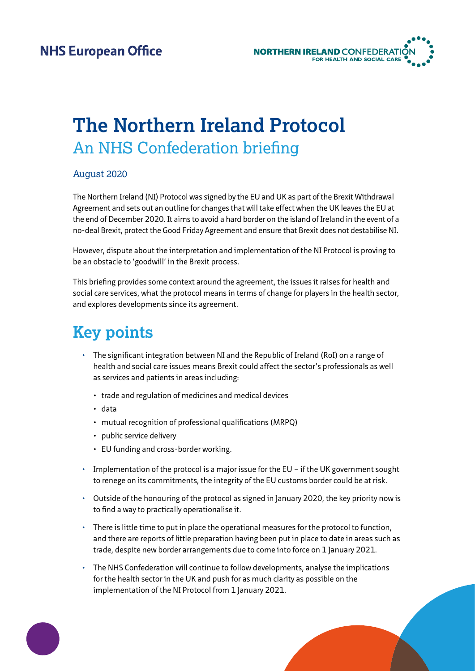

# **The Northern Ireland Protocol** An NHS Confederation briefing

#### August 2020

The Northern Ireland (NI) Protocol was signed by the EU and UK as part of the Brexit Withdrawal Agreement and sets out an outline for changes that will take effect when the UK leaves the EU at the end of December 2020. It aims to avoid a hard border on the island of Ireland in the event of a no-deal Brexit, protect the Good Friday Agreement and ensure that Brexit does not destabilise NI.

However, dispute about the interpretation and implementation of the NI Protocol is proving to be an obstacle to 'goodwill' in the Brexit process.

This briefing provides some context around the agreement, the issues it raises for health and social care services, what the protocol means in terms of change for players in the health sector, and explores developments since its agreement.

## **Key points**

- The significant integration between NI and the Republic of Ireland (RoI) on a range of health and social care issues means Brexit could affect the sector's professionals as well as services and patients in areas including:
	- trade and regulation of medicines and medical devices
	- data
	- mutual recognition of professional qualifications (MRPQ)
	- public service delivery
	- EU funding and cross-border working.
- Implementation of the protocol is a major issue for the EU if the UK government sought to renege on its commitments, the integrity of the EU customs border could be at risk.
- Outside of the honouring of the protocol as signed in January 2020, the key priority now is to find a way to practically operationalise it.
- There is little time to put in place the operational measures for the protocol to function, and there are reports of little preparation having been put in place to date in areas such as trade, despite new border arrangements due to come into force on 1 January 2021.
- The NHS Confederation will continue to follow developments, analyse the implications for the health sector in the UK and push for as much clarity as possible on the implementation of the NI Protocol from 1 January 2021.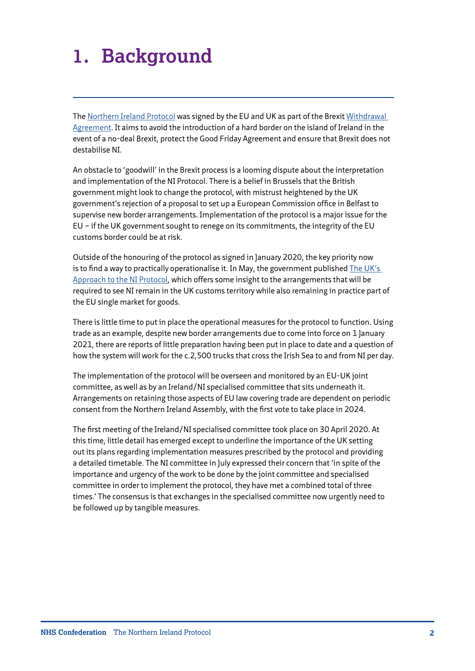# **1. Background**

The [Northern Ireland Protocol](https://www.gov.uk/government/publications/new-protocol-on-irelandnorthern-ireland-and-political-declaration) was signed by the EU and UK as part of the Brexit Withdrawal [Agreement](https://www.gov.uk/government/publications/new-withdrawal-agreement-and-political-declaration). It aims to avoid the introduction of a hard border on the island of Ireland in the event of a no-deal Brexit, protect the Good Friday Agreement and ensure that Brexit does not destabilise NI.

An obstacle to 'goodwill' in the Brexit process is a looming dispute about the interpretation and implementation of the NI Protocol. There is a belief in Brussels that the British government might look to change the protocol, with mistrust heightened by the UK government's rejection of a proposal to set up a European Commission office in Belfast to supervise new border arrangements. Implementation of the protocol is a major issue for the EU – if the UK government sought to renege on its commitments, the integrity of the EU customs border could be at risk.

Outside of the honouring of the protocol as signed in January 2020, the key priority now is to find a way to practically operationalise it. In May, the government published [The UK's](https://www.gov.uk/government/publications/the-uks-approach-to-the-northern-ireland-protocol)  [Approach to the NI Protocol](https://www.gov.uk/government/publications/the-uks-approach-to-the-northern-ireland-protocol), which offers some insight to the arrangements that will be required to see NI remain in the UK customs territory while also remaining in practice part of the EU single market for goods.

There is little time to put in place the operational measures for the protocol to function. Using trade as an example, despite new border arrangements due to come into force on 1 January 2021, there are reports of little preparation having been put in place to date and a question of how the system will work for the c.2,500 trucks that cross the Irish Sea to and from NI per day.

The implementation of the protocol will be overseen and monitored by an EU-UK joint committee, as well as by an Ireland/NI specialised committee that sits underneath it. Arrangements on retaining those aspects of EU law covering trade are dependent on periodic consent from the Northern Ireland Assembly, with the first vote to take place in 2024.

The first meeting of the Ireland/NI specialised committee took place on 30 April 2020. At this time, little detail has emerged except to underline the importance of the UK setting out its plans regarding implementation measures prescribed by the protocol and providing a detailed timetable. The NI committee in July expressed their concern that 'in spite of the importance and urgency of the work to be done by the joint committee and specialised committee in order to implement the protocol, they have met a combined total of three times.' The consensus is that exchanges in the specialised committee now urgently need to be followed up by tangible measures.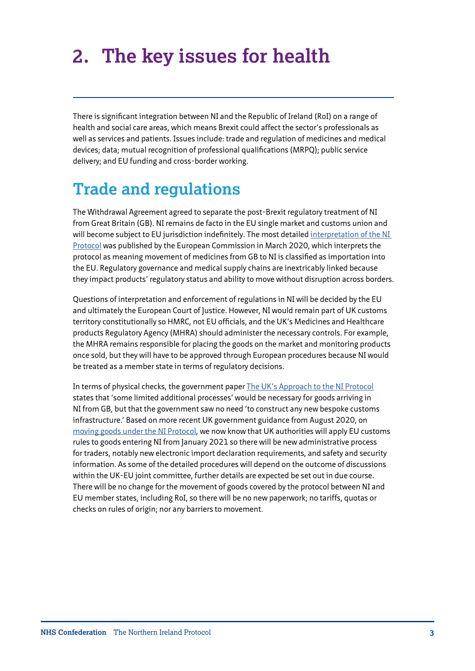# **2. The key issues for health**

There is significant integration between NI and the Republic of Ireland (RoI) on a range of health and social care areas, which means Brexit could affect the sector's professionals as well as services and patients. Issues include: trade and regulation of medicines and medical devices; data; mutual recognition of professional qualifications (MRPQ); public service delivery; and EU funding and cross-border working.

## **Trade and regulations**

The Withdrawal Agreement agreed to separate the post-Brexit regulatory treatment of NI from Great Britain (GB). NI remains de facto in the EU single market and customs union and will become subject to EU jurisdiction indefinitely. The most detailed [interpretation of the NI](https://ec.europa.eu/info/sites/info/files/notice_to_stakeholders_medicinal_products.pdf)  [Protocol](https://ec.europa.eu/info/sites/info/files/notice_to_stakeholders_medicinal_products.pdf) was published by the European Commission in March 2020, which interprets the protocol as meaning movement of medicines from GB to NI is classified as importation into the EU. Regulatory governance and medical supply chains are inextricably linked because they impact products' regulatory status and ability to move without disruption across borders.

Questions of interpretation and enforcement of regulations in NI will be decided by the EU and ultimately the European Court of Justice. However, NI would remain part of UK customs territory constitutionally so HMRC, not EU officials, and the UK's Medicines and Healthcare products Regulatory Agency (MHRA) should administer the necessary controls. For example, the MHRA remains responsible for placing the goods on the market and monitoring products once sold, but they will have to be approved through European procedures because NI would be treated as a member state in terms of regulatory decisions.

In terms of physical checks, the government paper [The UK's Approach to the NI Protocol](https://www.gov.uk/government/publications/the-uks-approach-to-the-northern-ireland-protocol) states that 'some limited additional processes' would be necessary for goods arriving in NI from GB, but that the government saw no need 'to construct any new bespoke customs infrastructure.' Based on more recent UK government guidance from August 2020, on [moving goods under the NI Protocol,](https://www.gov.uk/government/publications/moving-goods-under-the-northern-ireland-protocol/moving-goods-under-the-northern-ireland-protocol-introduction) we now know that UK authorities will apply EU customs rules to goods entering NI from January 2021 so there will be new administrative process for traders, notably new electronic import declaration requirements, and safety and security information. As some of the detailed procedures will depend on the outcome of discussions within the UK-EU joint committee, further details are expected be set out in due course. There will be no change for the movement of goods covered by the protocol between NI and EU member states, including RoI, so there will be no new paperwork; no tariffs, quotas or checks on rules of origin; nor any barriers to movement.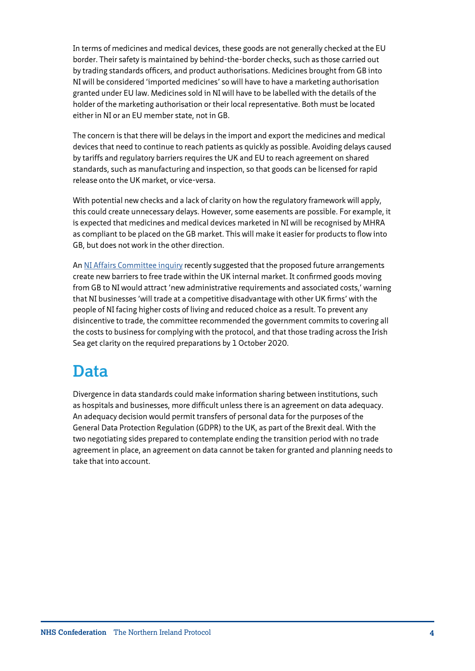In terms of medicines and medical devices, these goods are not generally checked at the EU border. Their safety is maintained by behind-the-border checks, such as those carried out by trading standards officers, and product authorisations. Medicines brought from GB into NI will be considered 'imported medicines' so will have to have a marketing authorisation granted under EU law. Medicines sold in NI will have to be labelled with the details of the holder of the marketing authorisation or their local representative. Both must be located either in NI or an EU member state, not in GB.

The concern is that there will be delays in the import and export the medicines and medical devices that need to continue to reach patients as quickly as possible. Avoiding delays caused by tariffs and regulatory barriers requires the UK and EU to reach agreement on shared standards, such as manufacturing and inspection, so that goods can be licensed for rapid release onto the UK market, or vice-versa.

With potential new checks and a lack of clarity on how the regulatory framework will apply, this could create unnecessary delays. However, some easements are possible. For example, it is expected that medicines and medical devices marketed in NI will be recognised by MHRA as compliant to be placed on the GB market. This will make it easier for products to flow into GB, but does not work in the other direction.

An [NI Affairs Committee inquiry](https://publications.parliament.uk/pa/cm5801/cmselect/cmniaf/161/16103.htm) recently suggested that the proposed future arrangements create new barriers to free trade within the UK internal market. It confirmed goods moving from GB to NI would attract 'new administrative requirements and associated costs,' warning that NI businesses 'will trade at a competitive disadvantage with other UK firms' with the people of NI facing higher costs of living and reduced choice as a result. To prevent any disincentive to trade, the committee recommended the government commits to covering all the costs to business for complying with the protocol, and that those trading across the Irish Sea get clarity on the required preparations by 1 October 2020.

## **Data**

Divergence in data standards could make information sharing between institutions, such as hospitals and businesses, more difficult unless there is an agreement on data adequacy. An adequacy decision would permit transfers of personal data for the purposes of the General Data Protection Regulation (GDPR) to the UK, as part of the Brexit deal. With the two negotiating sides prepared to contemplate ending the transition period with no trade agreement in place, an agreement on data cannot be taken for granted and planning needs to take that into account.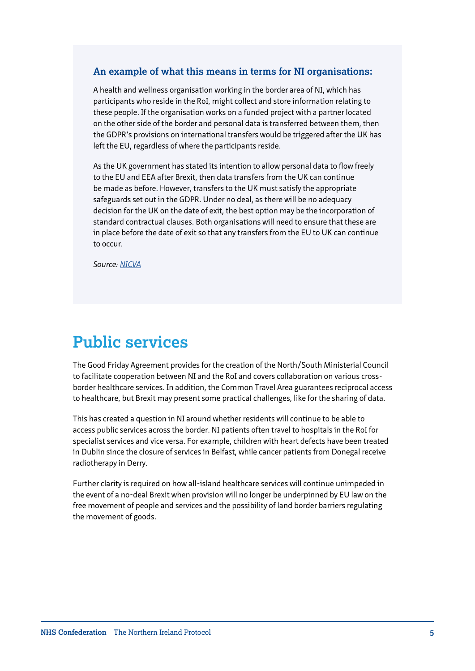#### **An example of what this means in terms for NI organisations:**

A health and wellness organisation working in the border area of NI, which has participants who reside in the RoI, might collect and store information relating to these people. If the organisation works on a funded project with a partner located on the other side of the border and personal data is transferred between them, then the GDPR's provisions on international transfers would be triggered after the UK has left the EU, regardless of where the participants reside.

As the UK government has stated its intention to allow personal data to flow freely to the EU and EEA after Brexit, then data transfers from the UK can continue be made as before. However, transfers to the UK must satisfy the appropriate safeguards set out in the GDPR. Under no deal, as there will be no adequacy decision for the UK on the date of exit, the best option may be the incorporation of standard contractual clauses. Both organisations will need to ensure that these are in place before the date of exit so that any transfers from the EU to UK can continue to occur.

*Source: [NICVA](https://www.nicva.org/article/what-happens-to-data-flows-after-a-no-deal-brexit)*

### **Public services**

The Good Friday Agreement provides for the creation of the North/South Ministerial Council to facilitate cooperation between NI and the RoI and covers collaboration on various crossborder healthcare services. In addition, the Common Travel Area guarantees reciprocal access to healthcare, but Brexit may present some practical challenges, like for the sharing of data.

This has created a question in NI around whether residents will continue to be able to access public services across the border. NI patients often travel to hospitals in the RoI for specialist services and vice versa. For example, children with heart defects have been treated in Dublin since the closure of services in Belfast, while cancer patients from Donegal receive radiotherapy in Derry.

Further clarity is required on how all-island healthcare services will continue unimpeded in the event of a no-deal Brexit when provision will no longer be underpinned by EU law on the free movement of people and services and the possibility of land border barriers regulating the movement of goods.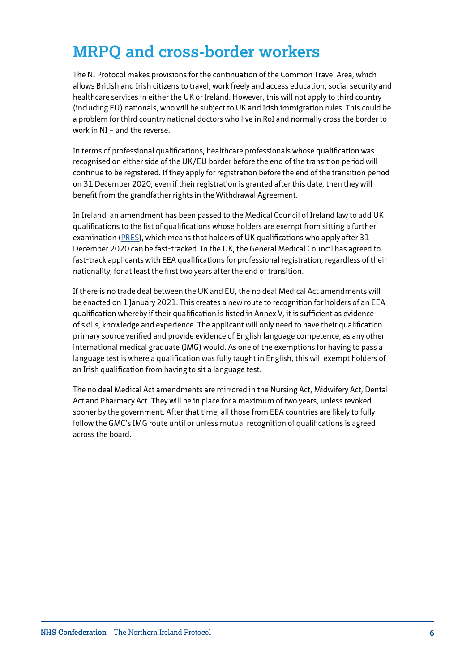## **MRPQ and cross-border workers**

The NI Protocol makes provisions for the continuation of the Common Travel Area, which allows British and Irish citizens to travel, work freely and access education, social security and healthcare services in either the UK or Ireland. However, this will not apply to third country (including EU) nationals, who will be subject to UK and Irish immigration rules. This could be a problem for third country national doctors who live in RoI and normally cross the border to work in NI – and the reverse.

In terms of professional qualifications, healthcare professionals whose qualification was recognised on either side of the UK/EU border before the end of the transition period will continue to be registered. If they apply for registration before the end of the transition period on 31 December 2020, even if their registration is granted after this date, then they will benefit from the grandfather rights in the Withdrawal Agreement.

In Ireland, an amendment has been passed to the Medical Council of Ireland law to add UK qualifications to the list of qualifications whose holders are exempt from sitting a further examination ([PRES](https://www.medicalcouncil.ie/registration-applications/first-time-applicants/examinations.html)), which means that holders of UK qualifications who apply after 31 December 2020 can be fast-tracked. In the UK, the General Medical Council has agreed to fast-track applicants with EEA qualifications for professional registration, regardless of their nationality, for at least the first two years after the end of transition.

If there is no trade deal between the UK and EU, the no deal Medical Act amendments will be enacted on 1 January 2021. This creates a new route to recognition for holders of an EEA qualification whereby if their qualification is listed in Annex V, it is sufficient as evidence of skills, knowledge and experience. The applicant will only need to have their qualification primary source verified and provide evidence of English language competence, as any other international medical graduate (IMG) would. As one of the exemptions for having to pass a language test is where a qualification was fully taught in English, this will exempt holders of an Irish qualification from having to sit a language test.

The no deal Medical Act amendments are mirrored in the Nursing Act, Midwifery Act, Dental Act and Pharmacy Act. They will be in place for a maximum of two years, unless revoked sooner by the government. After that time, all those from EEA countries are likely to fully follow the GMC's IMG route until or unless mutual recognition of qualifications is agreed across the board.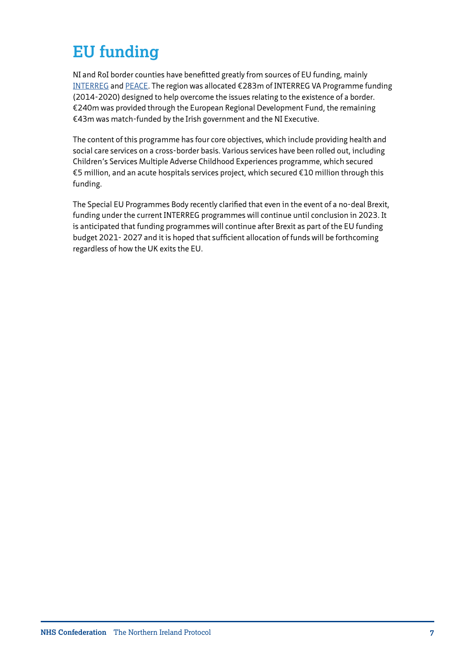# **EU funding**

NI and RoI border counties have benefitted greatly from sources of EU funding, mainly [INTERREG](https://interreg.eu/about-interreg/) and [PEACE.](https://ec.europa.eu/regional_policy/en/policy/what/glossary/p/peace-programme) The region was allocated €283m of INTERREG VA Programme funding (2014-2020) designed to help overcome the issues relating to the existence of a border. €240m was provided through the European Regional Development Fund, the remaining €43m was match-funded by the Irish government and the NI Executive.

The content of this programme has four core objectives, which include providing health and social care services on a cross-border basis. Various services have been rolled out, including Children's Services Multiple Adverse Childhood Experiences programme, which secured €5 million, and an acute hospitals services project, which secured €10 million through this funding.

The Special EU Programmes Body recently clarified that even in the event of a no-deal Brexit, funding under the current INTERREG programmes will continue until conclusion in 2023. It is anticipated that funding programmes will continue after Brexit as part of the EU funding budget 2021- 2027 and it is hoped that sufficient allocation of funds will be forthcoming regardless of how the UK exits the EU.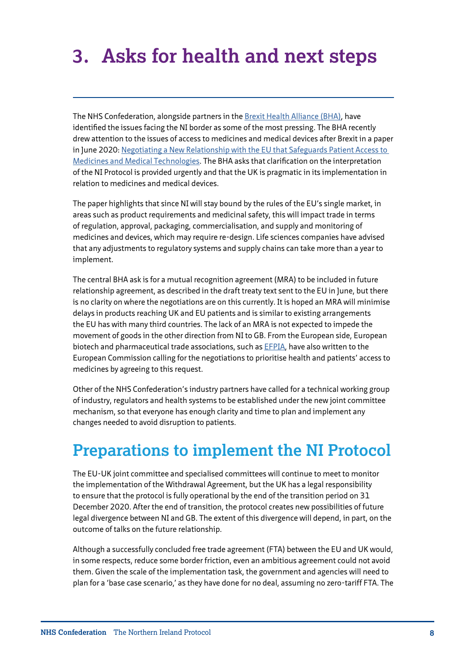# **3. Asks for health and next steps**

The NHS Confederation, alongside partners in the [Brexit Health Alliance \(BHA\)](https://www.nhsconfed.org/brexithealthalliance), have identified the issues facing the NI border as some of the most pressing. The BHA recently drew attention to the issues of access to medicines and medical devices after Brexit in a paper in June 2020: Negotiating a New Relationship with the EU that Safeguards Patient Access to [Medicines and Medical Technologies](https://www.nhsconfed.org/resources/2020/06/brexit-impact-patient-medicines-medical-technologies). The BHA asks that clarification on the interpretation of the NI Protocol is provided urgently and that the UK is pragmatic in its implementation in relation to medicines and medical devices.

The paper highlights that since NI will stay bound by the rules of the EU's single market, in areas such as product requirements and medicinal safety, this will impact trade in terms of regulation, approval, packaging, commercialisation, and supply and monitoring of medicines and devices, which may require re-design. Life sciences companies have advised that any adjustments to regulatory systems and supply chains can take more than a year to implement.

The central BHA ask is for a mutual recognition agreement (MRA) to be included in future relationship agreement, as described in the draft treaty text sent to the EU in June, but there is no clarity on where the negotiations are on this currently. It is hoped an MRA will minimise delays in products reaching UK and EU patients and is similar to existing arrangements the EU has with many third countries. The lack of an MRA is not expected to impede the movement of goods in the other direction from NI to GB. From the European side, European biotech and pharmaceutical trade associations, such as [EFPIA](https://www.efpia.eu/), have also written to the European Commission calling for the negotiations to prioritise health and patients' access to medicines by agreeing to this request.

Other of the NHS Confederation's industry partners have called for a technical working group of industry, regulators and health systems to be established under the new joint committee mechanism, so that everyone has enough clarity and time to plan and implement any changes needed to avoid disruption to patients.

### **Preparations to implement the NI Protocol**

The EU-UK joint committee and specialised committees will continue to meet to monitor the implementation of the Withdrawal Agreement, but the UK has a legal responsibility to ensure that the protocol is fully operational by the end of the transition period on 31 December 2020. After the end of transition, the protocol creates new possibilities of future legal divergence between NI and GB. The extent of this divergence will depend, in part, on the outcome of talks on the future relationship.

Although a successfully concluded free trade agreement (FTA) between the EU and UK would, in some respects, reduce some border friction, even an ambitious agreement could not avoid them. Given the scale of the implementation task, the government and agencies will need to plan for a 'base case scenario,' as they have done for no deal, assuming no zero-tariff FTA. The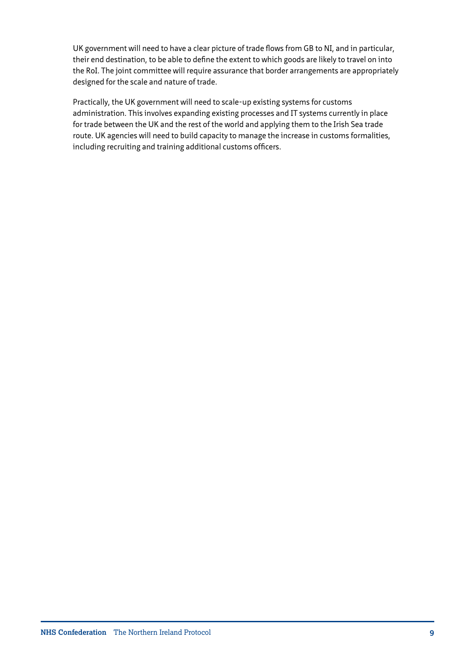UK government will need to have a clear picture of trade flows from GB to NI, and in particular, their end destination, to be able to define the extent to which goods are likely to travel on into the RoI. The joint committee will require assurance that border arrangements are appropriately designed for the scale and nature of trade.

Practically, the UK government will need to scale-up existing systems for customs administration. This involves expanding existing processes and IT systems currently in place for trade between the UK and the rest of the world and applying them to the Irish Sea trade route. UK agencies will need to build capacity to manage the increase in customs formalities, including recruiting and training additional customs officers.